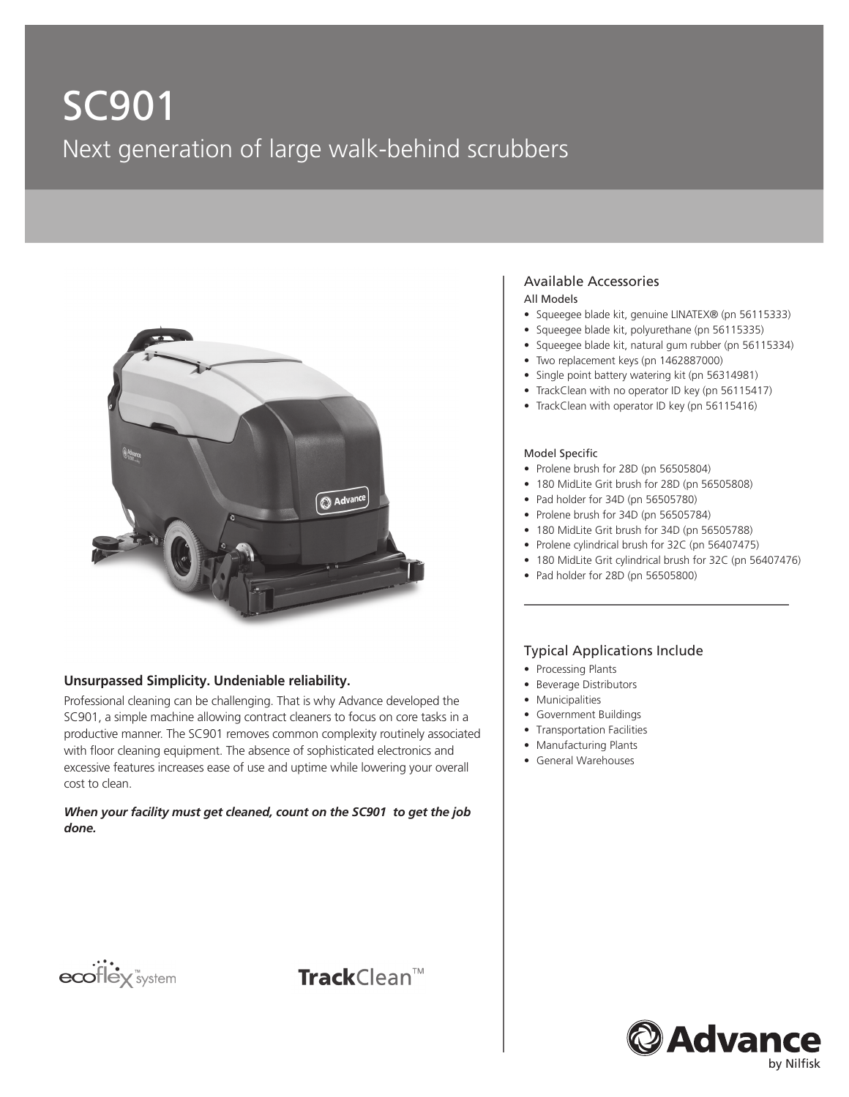# SC901 Next generation of large walk-behind scrubbers



#### **Unsurpassed Simplicity. Undeniable reliability.**

Professional cleaning can be challenging. That is why Advance developed the SC901, a simple machine allowing contract cleaners to focus on core tasks in a productive manner. The SC901 removes common complexity routinely associated with floor cleaning equipment. The absence of sophisticated electronics and excessive features increases ease of use and uptime while lowering your overall cost to clean.

*When your facility must get cleaned, count on the SC901 to get the job done.*

# ecoflex<sup>"system</sup>



#### Available Accessories

#### All Models

- Squeegee blade kit, genuine LINATEX® (pn 56115333)
- Squeegee blade kit, polyurethane (pn 56115335)
- Squeegee blade kit, natural gum rubber (pn 56115334)
- Two replacement keys (pn 1462887000)
- Single point battery watering kit (pn 56314981)
- TrackClean with no operator ID key (pn 56115417)
- TrackClean with operator ID key (pn 56115416)

#### Model Specific

- Prolene brush for 28D (pn 56505804)
- 180 MidLite Grit brush for 28D (pn 56505808)
- Pad holder for 34D (pn 56505780)
- Prolene brush for 34D (pn 56505784)
- 180 MidLite Grit brush for 34D (pn 56505788)
- Prolene cylindrical brush for 32C (pn 56407475)
- 180 MidLite Grit cylindrical brush for 32C (pn 56407476)
- Pad holder for 28D (pn 56505800)

#### Typical Applications Include

- Processing Plants
- Beverage Distributors
- Municipalities
- Government Buildings
- Transportation Facilities
- Manufacturing Plants
- General Warehouses